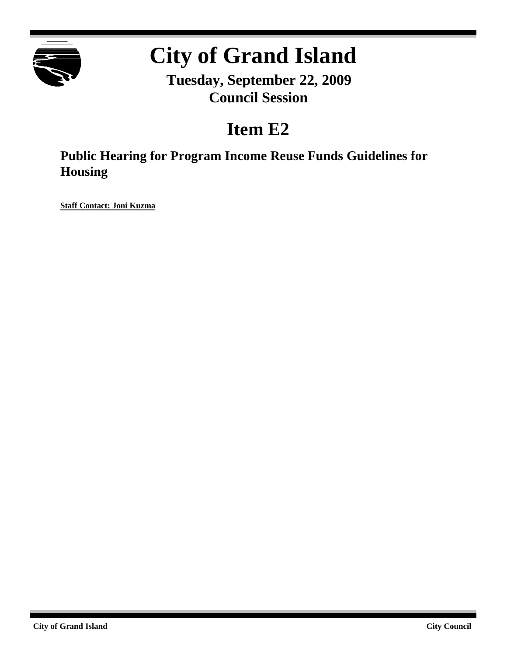

# **City of Grand Island**

**Tuesday, September 22, 2009 Council Session**

# **Item E2**

**Public Hearing for Program Income Reuse Funds Guidelines for Housing**

**Staff Contact: Joni Kuzma**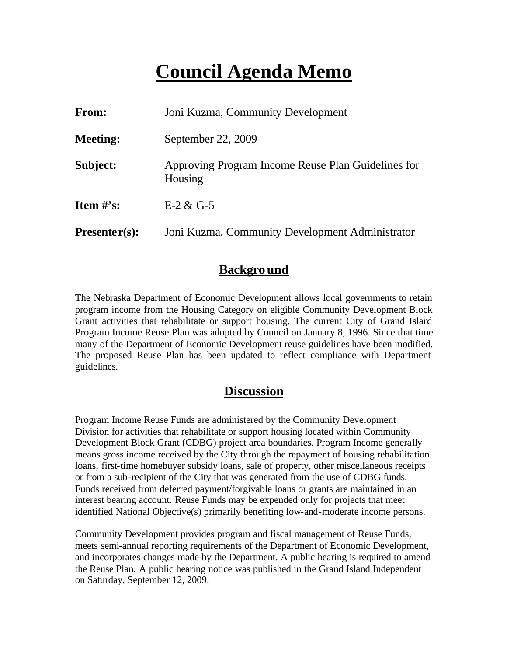# **Council Agenda Memo**

| From:           | Joni Kuzma, Community Development                             |
|-----------------|---------------------------------------------------------------|
| <b>Meeting:</b> | September 22, 2009                                            |
| Subject:        | Approving Program Income Reuse Plan Guidelines for<br>Housing |
| Item $#$ 's:    | $E-2 & G-5$                                                   |
| $Presenter(s):$ | Joni Kuzma, Community Development Administrator               |

#### **Background**

The Nebraska Department of Economic Development allows local governments to retain program income from the Housing Category on eligible Community Development Block Grant activities that rehabilitate or support housing. The current City of Grand Island Program Income Reuse Plan was adopted by Council on January 8, 1996. Since that time many of the Department of Economic Development reuse guidelines have been modified. The proposed Reuse Plan has been updated to reflect compliance with Department guidelines.

#### **Discussion**

Program Income Reuse Funds are administered by the Community Development Division for activities that rehabilitate or support housing located within Community Development Block Grant (CDBG) project area boundaries. Program Income generally means gross income received by the City through the repayment of housing rehabilitation loans, first-time homebuyer subsidy loans, sale of property, other miscellaneous receipts or from a sub-recipient of the City that was generated from the use of CDBG funds. Funds received from deferred payment/forgivable loans or grants are maintained in an interest bearing account. Reuse Funds may be expended only for projects that meet identified National Objective(s) primarily benefiting low-and-moderate income persons.

Community Development provides program and fiscal management of Reuse Funds, meets semi-annual reporting requirements of the Department of Economic Development, and incorporates changes made by the Department. A public hearing is required to amend the Reuse Plan. A public hearing notice was published in the Grand Island Independent on Saturday, September 12, 2009.